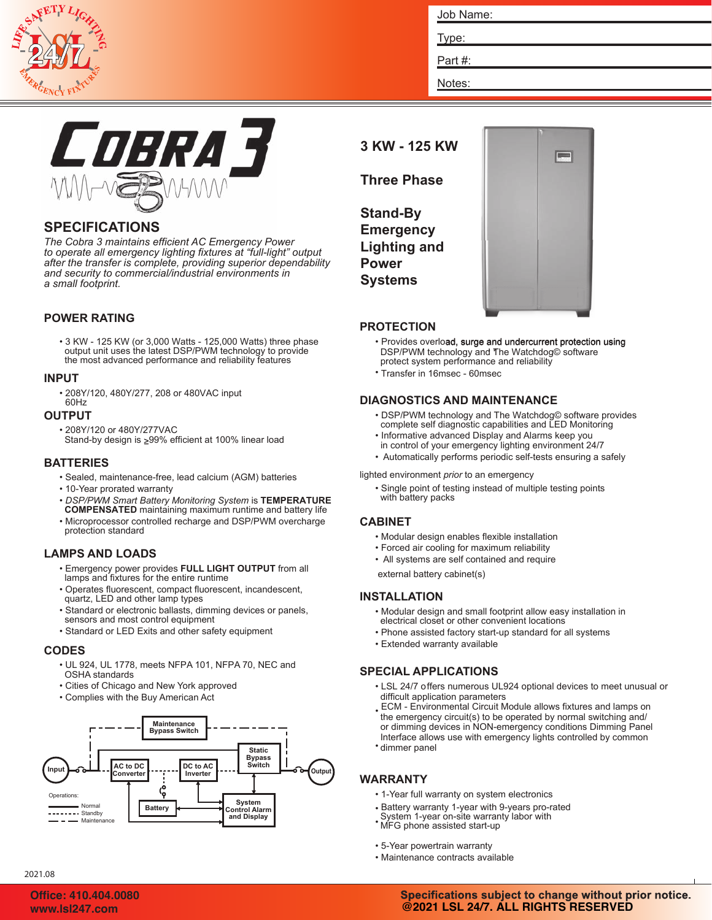

| Job Name: |  |  |
|-----------|--|--|
| Type:     |  |  |
| Part#:    |  |  |
| Notes:    |  |  |



# **SPECIFICATIONS**

*The Cobra 3 maintains efficient AC Emergency Power to operate all emergency lighting fixtures at "full-light" output after the transfer is complete, providing superior dependability and security to commercial/industrial environments in a small footprint.*

#### **POWER RATING**

• 3 KW - 125 KW (or 3,000 Watts - 125,000 Watts) three phase output unit uses the latest DSP/PWM technology to provide the most advanced performance and reliability features

#### **INPUT**

• 208Y/120, 480Y/277, 208 or 480VAC input 60Hz

#### **OUTPUT**

- 208Y/120 or 480Y/277VAC
	- Stand-by design is <sub>299%</sub> efficient at 100% linear load

#### **BATTERIES**

- Sealed, maintenance-free, lead calcium (AGM) batteries
- 10-Year prorated warranty
- *DSP/PWM Smart Battery Monitoring System* is **TEMPERATURE COMPENSATED** maintaining maximum runtime and battery life
- Microprocessor controlled recharge and DSP/PWM overcharge protection standard

## **LAMPS AND LOADS**

- Emergency power provides **FULL LIGHT OUTPUT** from all lamps and fixtures for the entire runtime
- Operates fluorescent, compact fluorescent, incandescent, quartz, LED and other lamp types
- Standard or electronic ballasts, dimming devices or panels, sensors and most control equipment
- Standard or LED Exits and other safety equipment

#### **CODES**

- UL 924, UL 1778, meets NFPA 101, NFPA 70, NEC and OSHA standards
- Cities of Chicago and New York approved
- Complies with the Buy American Act



**3 KW - 125 KW**

**Three Phase**

**Stand-By Emergency Lighting and Power Systems**



## **PROTECTION**

- Provides overload, surge and undercurrent protection using DSP/PWM technology and The Watchdog© software protect system performance and reliability
	- Transfer in 16msec 60msec

## **DIAGNOSTICS AND MAINTENANCE**

- DSP/PWM technology and The Watchdog© software provides complete self diagnostic capabilities and LED Monitoring
- Informative advanced Display and Alarms keep you in control of your emergency lighting environment 24/7
- Automatically performs periodic self-tests ensuring a safely

lighted environment *prior* to an emergency

• Single point of testing instead of multiple testing points with battery packs

#### **CABINET**

- Modular design enables flexible installation
- Forced air cooling for maximum reliability
- All systems are self contained and require

external battery cabinet(s)

#### **INSTALLATION**

- Modular design and small footprint allow easy installation in electrical closet or other convenient locations
- Phone assisted factory start-up standard for all systems
- Extended warranty available

## **SPECIAL APPLICATIONS**

- LSL 24/7 offers numerous UL924 optional devices to meet unusual or difficult application parameters
- ECM Environmental Circuit Module allows fixtures and lamps on • dimmer panel the emergency circuit(s) to be operated by normal switching and/ or dimming devices in NON-emergency conditions Dimming Panel Interface allows use with emergency lights controlled by common

# **WARRANTY**

- 1-Year full warranty on system electronics
- Battery warranty 1-year with 9-years pro-rated
- MFG phone assisted start-up System 1-year on-site warranty labor with
- 5-Year powertrain warranty
- Maintenance contracts available

2021.08

#### Specifications subject to change without prior notice. **www.lsl247.com @2021 LSL 24/7. ALL RIGHTS RESERVED**